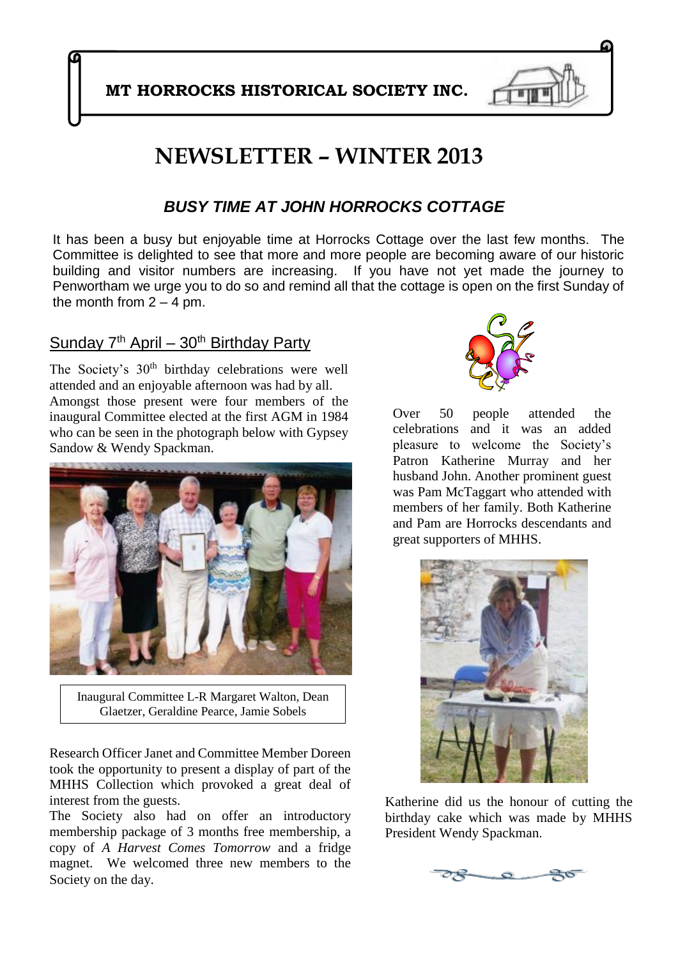**MT HORROCKS HISTORICAL SOCIETY INC.**

# **NEWSLETTER – WINTER 2013**

### *BUSY TIME AT JOHN HORROCKS COTTAGE*

It has been a busy but enjoyable time at Horrocks Cottage over the last few months. The Committee is delighted to see that more and more people are becoming aware of our historic building and visitor numbers are increasing. If you have not yet made the journey to Penwortham we urge you to do so and remind all that the cottage is open on the first Sunday of the month from  $2 - 4$  pm.

#### Sunday  $7<sup>th</sup>$  April – 30<sup>th</sup> Birthday Party

The Society's 30<sup>th</sup> birthday celebrations were well attended and an enjoyable afternoon was had by all. Amongst those present were four members of the inaugural Committee elected at the first AGM in 1984 who can be seen in the photograph below with Gypsey Sandow & Wendy Spackman.



Inaugural Committee L-R Margaret Walton, Dean Glaetzer, Geraldine Pearce, Jamie Sobels

Research Officer Janet and Committee Member Doreen took the opportunity to present a display of part of the MHHS Collection which provoked a great deal of interest from the guests.

The Society also had on offer an introductory membership package of 3 months free membership, a copy of *A Harvest Comes Tomorrow* and a fridge magnet. We welcomed three new members to the Society on the day.



Over 50 people attended the celebrations and it was an added pleasure to welcome the Society's Patron Katherine Murray and her husband John. Another prominent guest was Pam McTaggart who attended with members of her family. Both Katherine and Pam are Horrocks descendants and great supporters of MHHS.



Katherine did us the honour of cutting the birthday cake which was made by MHHS President Wendy Spackman.

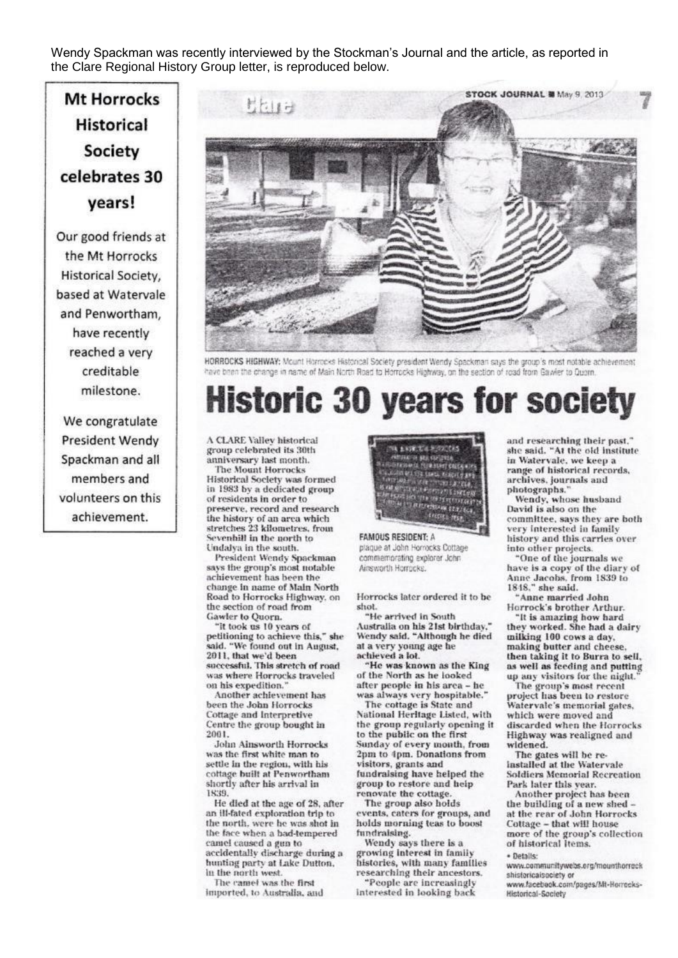Wendy Spackman was recently interviewed by the Stockman's Journal and the article, as reported in the Clare Regional History Group letter, is reproduced below.

# Mt Horrocks **Historical Society** celebrates 30 vears!

Our good friends at the Mt Horrocks Historical Society. based at Watervale and Penwortham. have recently reached a very creditable milestone.

We congratulate **President Wendy** Spackman and all members and volunteers on this achievement.



HORROCKS HIGHWAY: Mount Harrocks Historical Society president Wendy Spackman says the group's most notable achievement have been the change in name of Main North Road to Horrocks Highway, on the section of road from Gawler to Quern.

# **Historic 30 years for society**

A CLARE Valley historical group celebrated its 30th anniversary last month. **The Mount Horrocks** Historical Society was formed in 1983 by a dedicated group of residents in order to preserve, record and research the history of an area which stretches 23 kilometres, from Sevenbill in the north to Undalva in the south.

President Wendy Spackman says the group's most notable achievement has been the change in name of Main North Road to Horrocks Highway, on the section of road from Gawler to Quorn.

"It took us 10 years of<br>petitioning to achieve this," she said. "We found out in August, 2011, that we'd been successful. This stretch of road was where Horrocks traveled on his expedition.

Another achievement has been the John Horrocks Cottage and Interpretive Centre the group bought in 2001.

John Ainsworth Horrocks was the first white man to settle in the region, with his cottage built at Penwortham shortly after his arrival in 1839.

He died at the age of 28, after an ill-fated exploration trip to the north, were he was shot in the face when a bad-tempered camel caused a gun to accidentally discharge during a hunting party at Lake Dutton, in the north west.

The camel was the first imported, to Australia, and



#### plaque at John Horrocks Cottage commemorating explorer John Ainsworth Horrocks.

Horrocks later ordered it to be shot.

"He arrived in South Australia on his 21st birthday." Wendy said, "Although he died at a very young age he<br>achieved a lot.

"He was known as the King of the North as he looked after people in his area - he was always very hospitable.'

The cottage is State and National Heritage Listed, with the group regularly opening it to the public on the first Sunday of every month, from 2pm to 4pm. Donations from visitors, grants and fundraising have helped the group to restore and help renovate the cottage.

The group also holds events, caters for groups, and holds morning teas to boost fundraising.

Wendy says there is a growing interest in family histories, with many families researching their ancestors.

"People are increasingly interested in looking back

and researching their past." she said. "At the old institute in Watervale, we keep a range of historical records, archives, journals and photographs.'

Wendy, whose husband David is also on the committee, says they are both very interested in family history and this carries over into other projects.

"One of the journals we have is a copy of the diary of Anne Jacobs, from 1839 to<br>1848," she said.

"Anne married John Horrock's brother Arthur.

"It is amazing how hard they worked. She had a dairy milking 100 cows a day, making butter and cheese, then taking it to Burra to sell, as well as feeding and putting up any visitors for the night.

The group's most recent project has been to restore Watervale's memorial gates. which were moved and discarded when the Horrocks Highway was realigned and<br>widened.

The gates will be reinstalled at the Watervale **Soldiers Memorial Recreation** Park later this year.

Another project has been the building of a new shed at the rear of John Horrocks Cottage - that will house more of the group's collection<br>of historical items. · Details:

www.communitywebs.org/mounthorreck shistoricaisociety or

www.facebook.com/pages/Mt-Horrocks-Historical-Society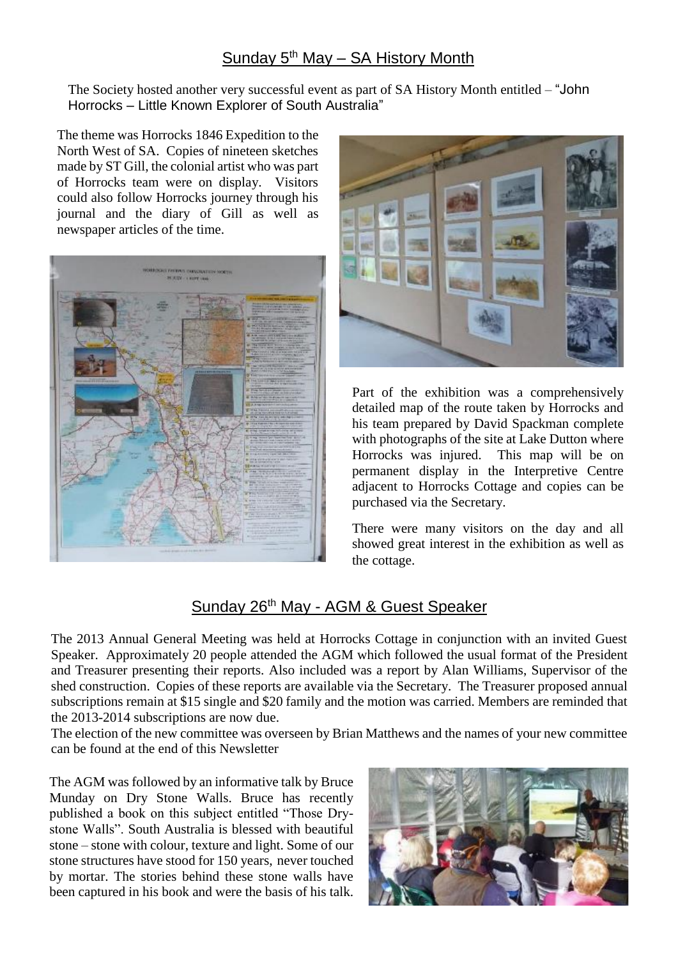#### Sunday  $5<sup>th</sup>$  May – SA History Month

The Society hosted another very successful event as part of SA History Month entitled – "John Horrocks – Little Known Explorer of South Australia"

The theme was Horrocks 1846 Expedition to the North West of SA. Copies of nineteen sketches made by ST Gill, the colonial artist who was part of Horrocks team were on display. Visitors could also follow Horrocks journey through his journal and the diary of Gill as well as newspaper articles of the time.





Part of the exhibition was a comprehensively detailed map of the route taken by Horrocks and his team prepared by David Spackman complete with photographs of the site at Lake Dutton where Horrocks was injured. This map will be on permanent display in the Interpretive Centre adjacent to Horrocks Cottage and copies can be purchased via the Secretary.

There were many visitors on the day and all showed great interest in the exhibition as well as the cottage.

### Sunday 26th May - AGM & Guest Speaker

The 2013 Annual General Meeting was held at Horrocks Cottage in conjunction with an invited Guest Speaker. Approximately 20 people attended the AGM which followed the usual format of the President and Treasurer presenting their reports. Also included was a report by Alan Williams, Supervisor of the shed construction. Copies of these reports are available via the Secretary. The Treasurer proposed annual subscriptions remain at \$15 single and \$20 family and the motion was carried. Members are reminded that the 2013-2014 subscriptions are now due.

The election of the new committee was overseen by Brian Matthews and the names of your new committee can be found at the end of this Newsletter

The AGM was followed by an informative talk by Bruce Munday on Dry Stone Walls. Bruce has recently published a book on this subject entitled "Those Drystone Walls". South Australia is blessed with beautiful stone – stone with colour, texture and light. Some of our stone structures have stood for 150 years, never touched by mortar. The stories behind these stone walls have been captured in his book and were the basis of his talk.

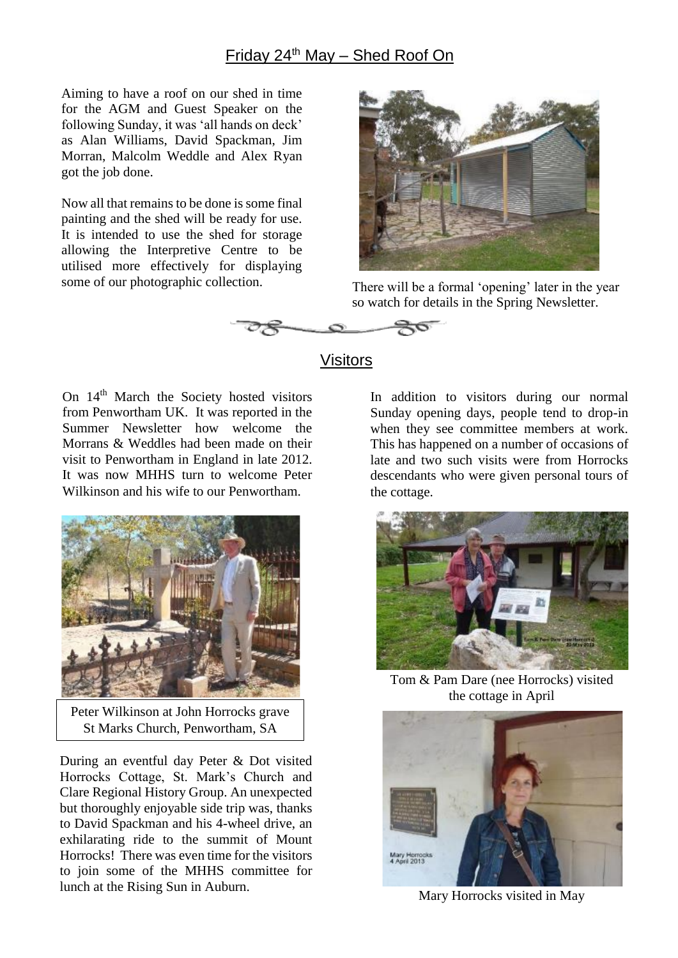#### Friday 24th May – Shed Roof On

Aiming to have a roof on our shed in time for the AGM and Guest Speaker on the following Sunday, it was 'all hands on deck' as Alan Williams, David Spackman, Jim Morran, Malcolm Weddle and Alex Ryan got the job done.

Now all that remains to be done is some final painting and the shed will be ready for use. It is intended to use the shed for storage allowing the Interpretive Centre to be utilised more effectively for displaying some of our photographic collection. There will be a formal 'opening' later in the year



so watch for details in the Spring Newsletter.



#### Visitors

On 14<sup>th</sup> March the Society hosted visitors from Penwortham UK. It was reported in the Summer Newsletter how welcome the Morrans & Weddles had been made on their visit to Penwortham in England in late 2012. It was now MHHS turn to welcome Peter Wilkinson and his wife to our Penwortham.



Peter Wilkinson at John Horrocks grave St Marks Church, Penwortham, SA

During an eventful day Peter & Dot visited Horrocks Cottage, St. Mark's Church and Clare Regional History Group. An unexpected but thoroughly enjoyable side trip was, thanks to David Spackman and his 4-wheel drive, an exhilarating ride to the summit of Mount Horrocks! There was even time for the visitors to join some of the MHHS committee for lunch at the Rising Sun in Auburn.

In addition to visitors during our normal Sunday opening days, people tend to drop-in when they see committee members at work. This has happened on a number of occasions of late and two such visits were from Horrocks descendants who were given personal tours of the cottage.



Tom & Pam Dare (nee Horrocks) visited the cottage in April



Mary Horrocks visited in May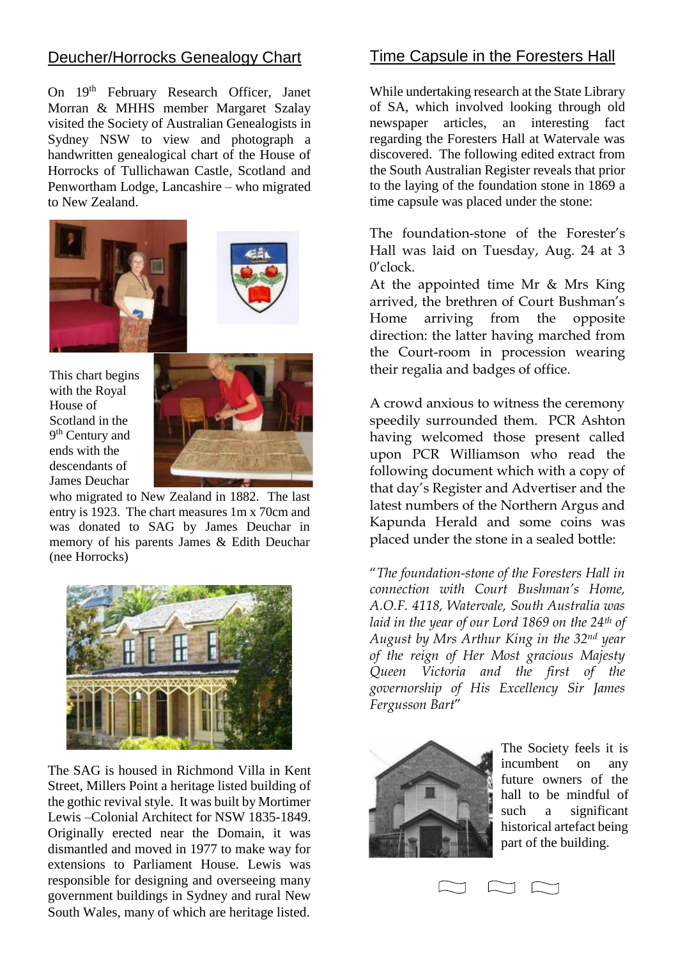#### Deucher/Horrocks Genealogy Chart

On 19<sup>th</sup> February Research Officer, Janet Morran & MHHS member Margaret Szalay visited the Society of Australian Genealogists in Sydney NSW to view and photograph a handwritten genealogical chart of the House of Horrocks of Tullichawan Castle, Scotland and Penwortham Lodge, Lancashire – who migrated to New Zealand.





This chart begins with the Royal House of Scotland in the 9<sup>th</sup> Century and ends with the descendants of James Deuchar



who migrated to New Zealand in 1882. The last entry is 1923. The chart measures 1m x 70cm and was donated to SAG by James Deuchar in memory of his parents James & Edith Deuchar (nee Horrocks)



The SAG is housed in Richmond Villa in Kent Street, Millers Point a heritage listed building of the gothic revival style. It was built by Mortimer Lewis –Colonial Architect for NSW 1835-1849. Originally erected near the Domain, it was dismantled and moved in 1977 to make way for extensions to Parliament House. Lewis was responsible for designing and overseeing many government buildings in Sydney and rural New South Wales, many of which are heritage listed.

#### Time Capsule in the Foresters Hall

While undertaking research at the State Library of SA, which involved looking through old newspaper articles, an interesting fact regarding the Foresters Hall at Watervale was discovered. The following edited extract from the South Australian Register reveals that prior to the laying of the foundation stone in 1869 a time capsule was placed under the stone:

The foundation-stone of the Forester's Hall was laid on Tuesday, Aug. 24 at 3 0'clock.

At the appointed time Mr & Mrs King arrived, the brethren of Court Bushman's Home arriving from the opposite direction: the latter having marched from the Court-room in procession wearing their regalia and badges of office.

A crowd anxious to witness the ceremony speedily surrounded them. PCR Ashton having welcomed those present called upon PCR Williamson who read the following document which with a copy of that day's Register and Advertiser and the latest numbers of the Northern Argus and Kapunda Herald and some coins was placed under the stone in a sealed bottle:

"*The foundation-stone of the Foresters Hall in connection with Court Bushman's Home, A.O.F. 4118, Watervale, South Australia was laid in the year of our Lord 1869 on the 24th of August by Mrs Arthur King in the 32nd year of the reign of Her Most gracious Majesty Queen Victoria and the first of the governorship of His Excellency Sir James Fergusson Bart*"



The Society feels it is incumbent on any future owners of the hall to be mindful of such a significant historical artefact being part of the building.